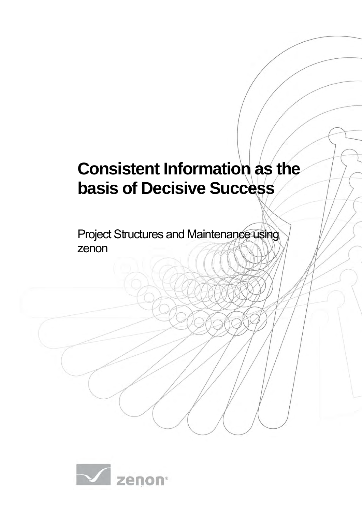# **Consistent Information as the basis of Decisive Success**

Project Structures and Maintenance using zenon

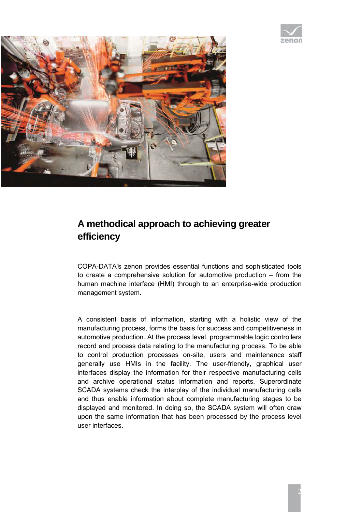



## **A methodical approach to achieving greater efficiency**

COPA-DATA"s zenon provides essential functions and sophisticated tools to create a comprehensive solution for automotive production – from the human machine interface (HMI) through to an enterprise-wide production management system.

A consistent basis of information, starting with a holistic view of the manufacturing process, forms the basis for success and competitiveness in automotive production. At the process level, programmable logic controllers record and process data relating to the manufacturing process. To be able to control production processes on-site, users and maintenance staff generally use HMIs in the facility. The user-friendly, graphical user interfaces display the information for their respective manufacturing cells and archive operational status information and reports. Superordinate SCADA systems check the interplay of the individual manufacturing cells and thus enable information about complete manufacturing stages to be displayed and monitored. In doing so, the SCADA system will often draw upon the same information that has been processed by the process level user interfaces.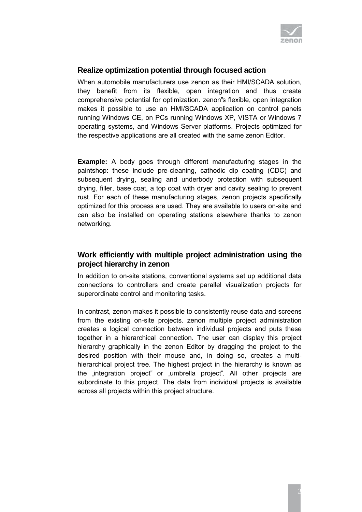

### **Realize optimization potential through focused action**

When automobile manufacturers use zenon as their HMI/SCADA solution, they benefit from its flexible, open integration and thus create comprehensive potential for optimization. zenon"s flexible, open integration makes it possible to use an HMI/SCADA application on control panels running Windows CE, on PCs running Windows XP, VISTA or Windows 7 operating systems, and Windows Server platforms. Projects optimized for the respective applications are all created with the same zenon Editor.

**Example:** A body goes through different manufacturing stages in the paintshop: these include pre-cleaning, cathodic dip coating (CDC) and subsequent drying, sealing and underbody protection with subsequent drying, filler, base coat, a top coat with dryer and cavity sealing to prevent rust. For each of these manufacturing stages, zenon projects specifically optimized for this process are used. They are available to users on-site and can also be installed on operating stations elsewhere thanks to zenon networking.

#### **Work efficiently with multiple project administration using the project hierarchy in zenon**

In addition to on-site stations, conventional systems set up additional data connections to controllers and create parallel visualization projects for superordinate control and monitoring tasks.

In contrast, zenon makes it possible to consistently reuse data and screens from the existing on-site projects. zenon multiple project administration creates a logical connection between individual projects and puts these together in a hierarchical connection. The user can display this project hierarchy graphically in the zenon Editor by dragging the project to the desired position with their mouse and, in doing so, creates a multihierarchical project tree. The highest project in the hierarchy is known as the integration project" or umbrella project". All other projects are subordinate to this project. The data from individual projects is available across all projects within this project structure.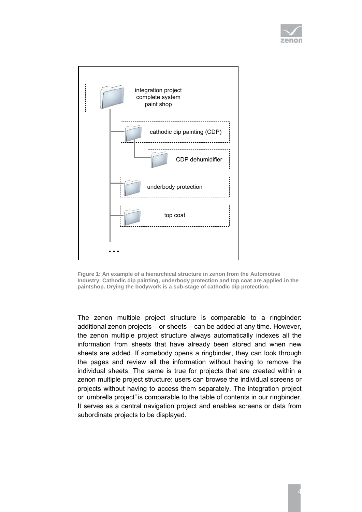



**Figure 1: An example of a hierarchical structure in zenon from the Automotive Industry: Cathodic dip painting, underbody protection and top coat are applied in the paintshop. Drying the bodywork is a sub-stage of cathodic dip protection.** 

The zenon multiple project structure is comparable to a ringbinder: additional zenon projects – or sheets – can be added at any time. However, the zenon multiple project structure always automatically indexes all the information from sheets that have already been stored and when new sheets are added. If somebody opens a ringbinder, they can look through the pages and review all the information without having to remove the individual sheets. The same is true for projects that are created within a zenon multiple project structure: users can browse the individual screens or projects without having to access them separately. The integration project or "umbrella project" is comparable to the table of contents in our ringbinder. It serves as a central navigation project and enables screens or data from subordinate projects to be displayed.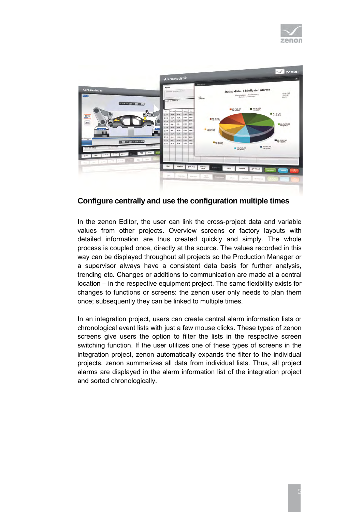



#### **Configure centrally and use the configuration multiple times**

In the zenon Editor, the user can link the cross-project data and variable values from other projects. Overview screens or factory layouts with detailed information are thus created quickly and simply. The whole process is coupled once, directly at the source. The values recorded in this way can be displayed throughout all projects so the Production Manager or a supervisor always have a consistent data basis for further analysis, trending etc. Changes or additions to communication are made at a central location – in the respective equipment project. The same flexibility exists for changes to functions or screens: the zenon user only needs to plan them once; subsequently they can be linked to multiple times.

In an integration project, users can create central alarm information lists or chronological event lists with just a few mouse clicks. These types of zenon screens give users the option to filter the lists in the respective screen switching function. If the user utilizes one of these types of screens in the integration project, zenon automatically expands the filter to the individual projects. zenon summarizes all data from individual lists. Thus, all project alarms are displayed in the alarm information list of the integration project and sorted chronologically.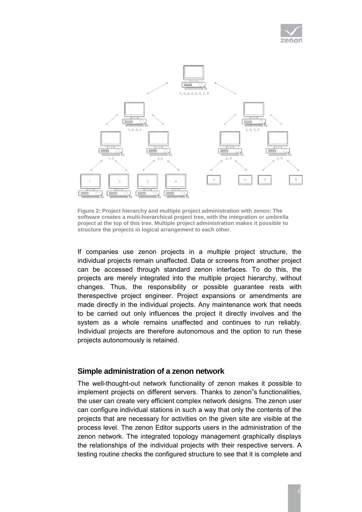



**Figure 2: Project hierarchy and multiple project administration with zenon: The software creates a multi-hierarchical project tree, with the integration or umbrella project at the top of this tree. Multiple project administration makes it possible to structure the projects in logical arrangement to each other.** 

If companies use zenon projects in a multiple project structure, the individual projects remain unaffected. Data or screens from another project can be accessed through standard zenon interfaces. To do this, the projects are merely integrated into the multiple project hierarchy, without changes. Thus, the responsibility or possible guarantee rests with therespective project engineer. Project expansions or amendments are made directly in the individual projects. Any maintenance work that needs to be carried out only influences the project it directly involves and the system as a whole remains unaffected and continues to run reliably. Individual projects are therefore autonomous and the option to run these projects autonomously is retained.

#### **Simple administration of a zenon network**

The well-thought-out network functionality of zenon makes it possible to implement projects on different servers. Thanks to zenon"s functionalities, the user can create very efficient complex network designs. The zenon user can configure individual stations in such a way that only the contents of the projects that are necessary for activities on the given site are visible at the process level. The zenon Editor supports users in the administration of the zenon network. The integrated topology management graphically displays the relationships of the individual projects with their respective servers. A testing routine checks the configured structure to see that it is complete and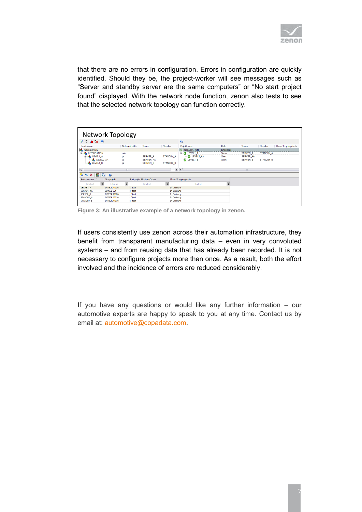

that there are no errors in configuration. Errors in configuration are quickly identified. Should they be, the project-worker will see messages such as "Server and standby server are the same computers" or "No start project found" displayed. With the network node function, zenon also tests to see that the selected network topology can function correctly.

| Network Topology           |                    |          |                |                             |                    |                        |                     |                 |                  |                  |                     |
|----------------------------|--------------------|----------|----------------|-----------------------------|--------------------|------------------------|---------------------|-----------------|------------------|------------------|---------------------|
|                            |                    |          |                |                             |                    |                        |                     |                 |                  |                  |                     |
| $E = E \times K$           |                    |          |                |                             |                    |                        | $\bullet$           |                 |                  |                  |                     |
| Projektname                |                    |          | Netzwerk aktiv | Server                      | Standby            |                        | Projektname         | Rolle           | Server           | Standby          | Überpüfungsergebnis |
| Arbeitsbereich             |                    |          |                |                             | <b>INTEGRATION</b> | Einzelplatz            |                     |                 |                  |                  |                     |
| <b>B</b> INTEGRATION       | nein               |          |                |                             |                    | <b>OILEVEL1 A</b><br>ė | Server              | <b>SERVER A</b> | <b>STANDBY A</b> |                  |                     |
| <b>G-dALEVEL1_A</b>        | ia                 | SERVER A |                |                             | STANDBY A          | LEVEL2 AA              | Client              | SERVER AA       |                  |                  |                     |
|                            | <b>ELEVEL2 AA</b>  |          |                | <b>SERVER AA</b>            |                    |                        | <b>C</b> LEVEL1 B   | Client          | <b>SERVER B</b>  | <b>STANDBY B</b> |                     |
| <b>EL LEVEL1 B</b>         |                    | ia       |                | <b>SERVER B</b>             |                    | <b>STANDBY B</b>       |                     |                 |                  |                  |                     |
|                            |                    |          |                |                             |                    |                        |                     |                 |                  |                  |                     |
| $\vert$ < $\vert$<br>m.    |                    |          | > 1            |                             |                    |                        |                     | <b>III</b>      |                  |                  |                     |
| <b>DAX</b><br>西<br>$F_1$ 0 |                    |          |                |                             |                    |                        |                     |                 |                  |                  |                     |
| Rechnemame                 | Startprojekt       |          |                | Startprojekt Runtime-Ordner |                    |                        | Überpüfungsergebnis |                 |                  |                  |                     |
| 冒<br>Filtertext            | Filtertext         | 冒        |                | Filtertext                  | 雇                  |                        | Filtertext          | 冒               |                  |                  |                     |
| SERVER A                   | <b>INTEGRATION</b> |          | c:\test        |                             |                    | In Ordnung             |                     |                 |                  |                  |                     |
| <b>SERVER AA</b>           | LEVEL2 AA          |          | c:\test        |                             |                    | In Ordnung             |                     |                 |                  |                  |                     |
| SERVER B                   | <b>INTEGRATION</b> |          | c:\test        |                             |                    | In Ordnung             |                     |                 |                  |                  |                     |
| STANDBY A                  | <b>INTEGRATION</b> |          | c:\test        |                             |                    | In Ordnung             |                     |                 |                  |                  |                     |
| <b>STANDBY B</b>           | <b>INTEGRATION</b> |          | c:\test        |                             |                    | In Ordnung             |                     |                 |                  |                  |                     |

**Figure 3: An illustrative example of a network topology in zenon.** 

If users consistently use zenon across their automation infrastructure, they benefit from transparent manufacturing data – even in very convoluted systems – and from reusing data that has already been recorded. It is not necessary to configure projects more than once. As a result, both the effort involved and the incidence of errors are reduced considerably.

If you have any questions or would like any further information – our automotive experts are happy to speak to you at any time. Contact us by email at: [automotive@copadata.com.](mailto:automotive@copadata.com)